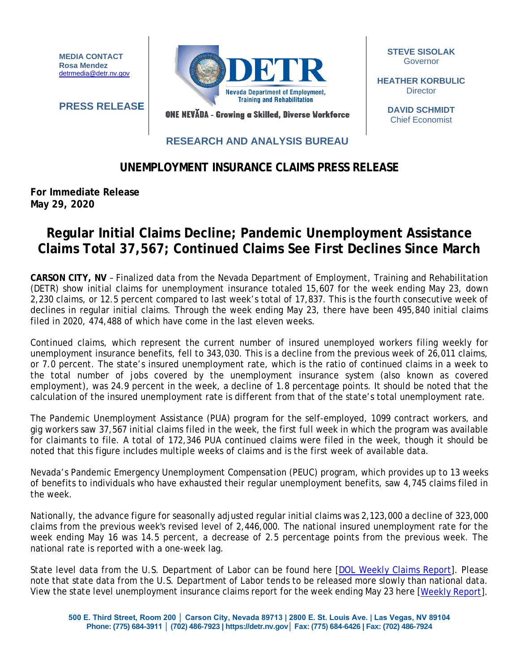**MEDIA CONTACT Rosa Mendez** [detrmedia@detr.nv.gov](mailto:detrmedia@detr.nv.gov) **Nevada Department of Employment, Training and Rehabilitation** 

**STEVE SISOLAK** Governor

**HEATHER KORBULIC Director** 

> **DAVID SCHMIDT** Chief Economist

**PRESS RELEASE**

## **RESEARCH AND ANALYSIS BUREAU**

ONE NEVĂDA - Growing a Skilled, Diverse Workforce

## **UNEMPLOYMENT INSURANCE CLAIMS PRESS RELEASE**

**For Immediate Release May 29, 2020**

## **Regular Initial Claims Decline; Pandemic Unemployment Assistance Claims Total 37,567; Continued Claims See First Declines Since March**

**CARSON CITY, NV** – Finalized data from the Nevada Department of Employment, Training and Rehabilitation (DETR) show initial claims for unemployment insurance totaled 15,607 for the week ending May 23, down 2,230 claims, or 12.5 percent compared to last week's total of 17,837. This is the fourth consecutive week of declines in regular initial claims. Through the week ending May 23, there have been 495,840 initial claims filed in 2020, 474,488 of which have come in the last eleven weeks.

Continued claims, which represent the current number of insured unemployed workers filing weekly for unemployment insurance benefits, fell to 343,030. This is a decline from the previous week of 26,011 claims, or 7.0 percent. The state's insured unemployment rate, which is the ratio of continued claims in a week to the total number of jobs covered by the unemployment insurance system (also known as covered employment), was 24.9 percent in the week, a decline of 1.8 percentage points. It should be noted that the calculation of the insured unemployment rate is different from that of the state's total unemployment rate.

The Pandemic Unemployment Assistance (PUA) program for the self-employed, 1099 contract workers, and gig workers saw 37,567 initial claims filed in the week, the first full week in which the program was available for claimants to file. A total of 172,346 PUA continued claims were filed in the week, though it should be noted that this figure includes multiple weeks of claims and is the first week of available data.

Nevada's Pandemic Emergency Unemployment Compensation (PEUC) program, which provides up to 13 weeks of benefits to individuals who have exhausted their regular unemployment benefits, saw 4,745 claims filed in the week.

Nationally, the advance figure for seasonally adjusted regular initial claims was 2,123,000 a decline of 323,000 claims from the previous week's revised level of 2,446,000. The national insured unemployment rate for the week ending May 16 was 14.5 percent, a decrease of 2.5 percentage points from the previous week. The national rate is reported with a one-week lag.

State level data from the U.S. Department of Labor can be found here [\[DOL Weekly Claims Report\]](https://oui.doleta.gov/unemploy/claims_arch.asp). Please note that state data from the U.S. Department of Labor tends to be released more slowly than national data. View the state level unemployment insurance claims report for the week ending May 23 here [\[Weekly Report\]](http://nvlmi.mt.gov/Portals/197/UI%20Monthly%20Claims%20Press%20Release/Dashboards/State%20of%20Nevada%20UI%20Weekly%20Filing%20Report.pdf).